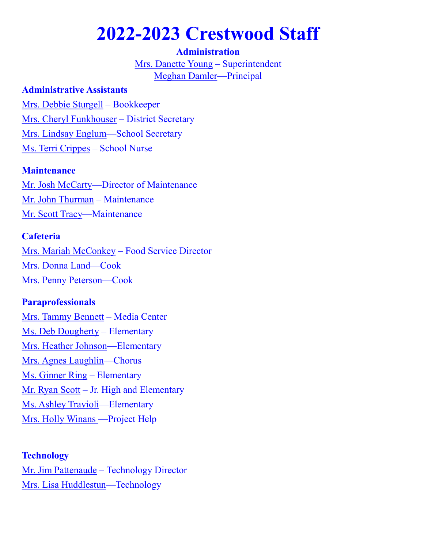# **2022-2023 Crestwood Staff**

#### **Administration**

[Mrs. Danette Young](mailto:dyoung@crestwood.k12.il.us) – Superintendent [Meghan Damler—P](mailto:mdamler@crestwood.k12.il.us)rincipal

#### **Administrative Assistants**

[Mrs. Debbie Sturgell](mailto:dsturgell@crestwood.k12.il.us) – Bookkeeper [Mrs. Cheryl Funkhouser](mailto:cfunkhouser@crestwood.k12.il.us) – District Secretary [Mrs. Lindsay Englum—](mailto:lenglum@crestwood.k12.il.us)School Secretary [Ms. Terri Crippes](mailto:tcrippes@crestwood.k12.il.us) – School Nurse

### **Maintenance**

[Mr. Josh McCarty—](mailto:jmccarty@crestwood.k12.il.us)Director of Maintenance [Mr. John Thurman](mailto:jthurman@crestwood.k12.il.us) – Maintenance [Mr. Scott Tracy—M](mailto:stracy@crestwood.k12.il.us)aintenance

## **Cafeteria**

[Mrs. Mariah McConkey](mailto:mmcconkey@crestwood.k12.il.us) – Food Service Director Mrs. Donna Land—Cook Mrs. Penny Peterson—Cook

## **Paraprofessionals**

[Mrs. Tammy Bennett](mailto:tbennett@crestwood.k12.il.us) – Media Center [Ms. Deb Dougherty](mailto:ddougherty@crestwood.k12.il.us) – Elementary [Mrs. Heather Johnson—E](mailto:hjohnson@crestwood.k12.il.us)lementary [Mrs. Agnes Laughlin—](mailto:awright@crestwood.k12.il.us)Chorus [Ms. Ginner Ring](mailto:gring@crestwood.k12.il.us) – Elementary [Mr. Ryan Scott](mailto:rscott@crestwood.k12.il.us) – Jr. High and Elementary [Ms. Ashley Travioli—](mailto:atravioli@crestwood.k12.il.us)Elementary [Mrs. Holly Winans —P](mailto:hwinans@crestwood.k12.il.us)roject Help

#### **Technology**

[Mr. Jim Pattenaude](mailto:jpattenaude@crestwood.k12.il.us) – Technology Director [Mrs. Lisa Huddlestun—](mailto:lhuddlestun@crestwood.k12.il.us)Technology